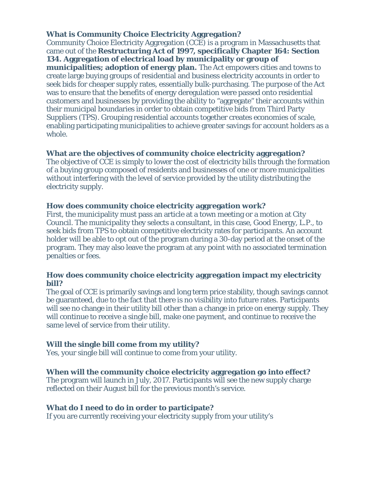**What is Community Choice Electricity Aggregation?** Community Choice Electricity Aggregation (CCE) is a program in Massachusetts that came out of the **Restructuring Act of 1997, specifically Chapter 164: Section 134. Aggregation of electrical load by municipality or group of municipalities; adoption of energy plan.** The Act empowers cities and towns to create large buying groups of residential and business electricity accounts in order to seek bids for cheaper supply rates, essentially bulk-purchasing. The purpose of the Act was to ensure that the benefits of energy deregulation were passed onto residential customers and businesses by providing the ability to "aggregate" their accounts within their municipal boundaries in order to obtain competitive bids from Third Party Suppliers (TPS). Grouping residential accounts together creates economies of scale, enabling participating municipalities to achieve greater savings for account holders as a whole.

**What are the objectives of community choice electricity aggregation?** The objective of CCE is simply to lower the cost of electricity bills through the formation of a buying group composed of residents and businesses of one or more municipalities without interfering with the level of service provided by the utility distributing the electricity supply.

**How does community choice electricity aggregation work?** First, the municipality must pass an article at a town meeting or a motion at City Council. The municipality they selects a consultant, in this case, Good Energy, L.P., to seek bids from TPS to obtain competitive electricity rates for participants. An account holder will be able to opt out of the program during a 30-day period at the onset of the program. They may also leave the program at any point with no associated termination penalties or fees.

**How does community choice electricity aggregation impact my electricity bill?**

The goal of CCE is primarily savings and long term price stability, though savings cannot be guaranteed, due to the fact that there is no visibility into future rates. Participants will see no change in their utility bill other than a change in price on energy supply. They will continue to receive a single bill, make one payment, and continue to receive the same level of service from their utility.

**Will the single bill come from my utility?** Yes, your single bill will continue to come from your utility.

**When will the community choice electricity aggregation go into effect?** The program will launch in July, 2017. Participants will see the new supply charge reflected on their August bill for the previous month's service.

**What do I need to do in order to participate?** If you are currently receiving your electricity supply from your utility's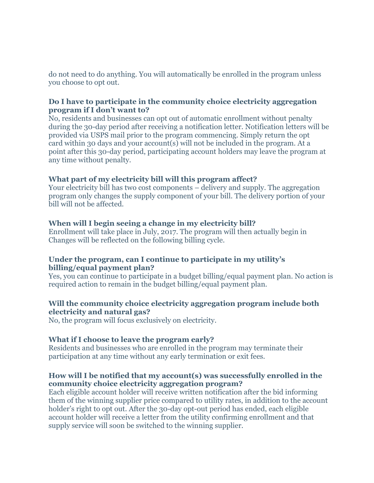do not need to do anything. You will automatically be enrolled in the program unless you choose to opt out.

#### **Do I have to participate in the community choice electricity aggregation program if I don't want to?**

No, residents and businesses can opt out of automatic enrollment without penalty during the 30-day period after receiving a notification letter. Notification letters will be provided via USPS mail prior to the program commencing. Simply return the opt card within 30 days and your account(s) will not be included in the program. At a point after this 30-day period, participating account holders may leave the program at any time without penalty.

#### **What part of my electricity bill will this program affect?**

Your electricity bill has two cost components – delivery and supply. The aggregation program only changes the supply component of your bill. The delivery portion of your bill will not be affected.

#### **When will I begin seeing a change in my electricity bill?**

Enrollment will take place in July, 2017. The program will then actually begin in Changes will be reflected on the following billing cycle.

#### **Under the program, can I continue to participate in my utility's billing/equal payment plan?**

Yes, you can continue to participate in a budget billing/equal payment plan. No action is required action to remain in the budget billing/equal payment plan.

## **Will the community choice electricity aggregation program include both electricity and natural gas?**

No, the program will focus exclusively on electricity.

#### **What if I choose to leave the program early?**

Residents and businesses who are enrolled in the program may terminate their participation at any time without any early termination or exit fees.

## **How will I be notified that my account(s) was successfully enrolled in the community choice electricity aggregation program?**

Each eligible account holder will receive written notification after the bid informing them of the winning supplier price compared to utility rates, in addition to the account holder's right to opt out. After the 30-day opt-out period has ended, each eligible account holder will receive a letter from the utility confirming enrollment and that supply service will soon be switched to the winning supplier.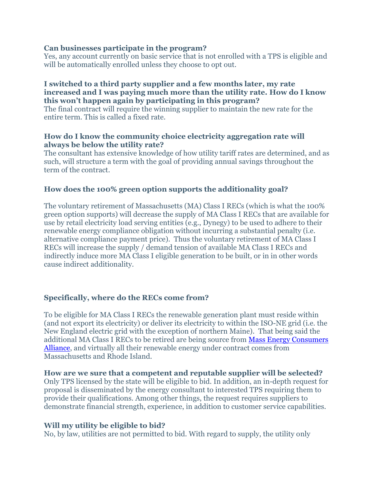#### **Can businesses participate in the program?**

Yes, any account currently on basic service that is not enrolled with a TPS is eligible and will be automatically enrolled unless they choose to opt out.

#### **I switched to a third party supplier and a few months later, my rate increased and I was paying much more than the utility rate. How do I know this won't happen again by participating in this program?**

The final contract will require the winning supplier to maintain the new rate for the entire term. This is called a fixed rate.

#### **How do I know the community choice electricity aggregation rate will always be below the utility rate?**

The consultant has extensive knowledge of how utility tariff rates are determined, and as such, will structure a term with the goal of providing annual savings throughout the term of the contract.

## **How does the 100% green option supports the additionality goal?**

The voluntary retirement of Massachusetts (MA) Class I RECs (which is what the 100% green option supports) will decrease the supply of MA Class I RECs that are available for use by retail electricity load serving entities (e.g., Dynegy) to be used to adhere to their renewable energy compliance obligation without incurring a substantial penalty (i.e. alternative compliance payment price). Thus the voluntary retirement of MA Class I RECs will increase the supply / demand tension of available MA Class I RECs and indirectly induce more MA Class I eligible generation to be built, or in in other words cause indirect additionality.

# **Specifically, where do the RECs come from?**

To be eligible for MA Class I RECs the renewable generation plant must reside within (and not export its electricity) or deliver its electricity to within the ISO-NE grid (i.e. the New England electric grid with the exception of northern Maine). That being said the additional MA Class I RECs to be retired are being source from [Mass Energy Consumers](https://www.massenergy.org/)  [Alliance,](https://www.massenergy.org/) and virtually all their renewable energy under contract comes from Massachusetts and Rhode Island.

#### **How are we sure that a competent and reputable supplier will be selected?**

Only TPS licensed by the state will be eligible to bid. In addition, an in-depth request for proposal is disseminated by the energy consultant to interested TPS requiring them to provide their qualifications. Among other things, the request requires suppliers to demonstrate financial strength, experience, in addition to customer service capabilities.

#### **Will my utility be eligible to bid?**

No, by law, utilities are not permitted to bid. With regard to supply, the utility only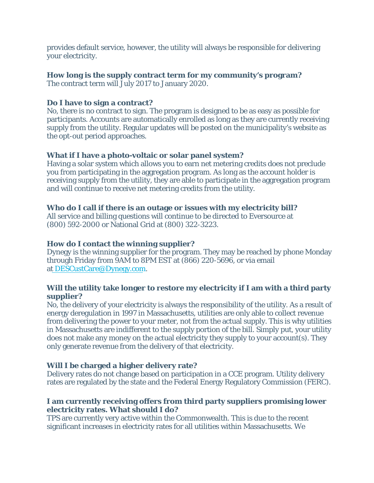provides default service, however, the utility will always be responsible for delivering your electricity.

**How long is the supply contract term for my community's program?** The contract term will July 2017 to January 2020.

**Do I have to sign a contract?**

No, there is no contract to sign. The program is designed to be as easy as possible for participants. Accounts are automatically enrolled as long as they are currently receiving supply from the utility. Regular updates will be posted on the municipality's website as the opt-out period approaches.

**What if I have a photo-voltaic or solar panel system?** Having a solar system which allows you to earn net metering credits does not preclude you from participating in the aggregation program. As long as the account holder is receiving supply from the utility, they are able to participate in the aggregation program and will continue to receive net metering credits from the utility.

**Who do I call if there is an outage or issues with my electricity bill?** All service and billing questions will continue to be directed to Eversource at (800) 592-2000 or National Grid at (800) 322-3223.

**How do I contact the winning supplier?** Dynegy is the winning supplier for the program. They may be reached by phone Monday through Friday from 9AM to 8PM EST at (866) 220-5696, or via email at [DESCustCare@Dynegy.com](mailto:DESCustCare@Dynegy.com).

**Will the utility take longer to restore my electricity if I am with a third party supplier?**

No, the delivery of your electricity is always the responsibility of the utility. As a result of energy deregulation in 1997 in Massachusetts, utilities are only able to collect revenue from delivering the power to your meter, not from the actual supply. This is why utilities in Massachusetts are indifferent to the supply portion of the bill. Simply put, your utility does not make any money on the actual electricity they supply to your account(s). They only generate revenue from the delivery of that electricity.

**Will I be charged a higher delivery rate?** Delivery rates do not change based on participation in a CCE program. Utility delivery rates are regulated by the state and the Federal Energy Regulatory Commission (FERC).

**I am currently receiving offers from third party suppliers promising lower electricity rates. What should I do?**

TPS are currently very active within the Commonwealth. This is due to the recent significant increases in electricity rates for all utilities within Massachusetts. We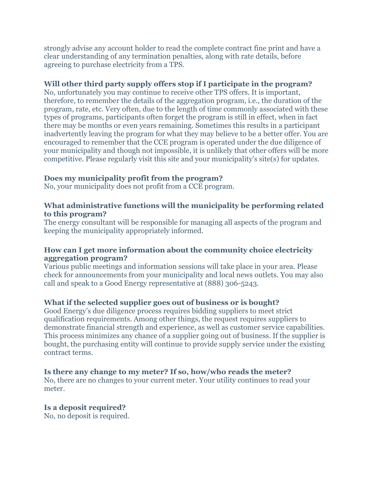strongly advise any account holder to read the complete contract fine print and have a clear understanding of any termination penalties, along with rate details, before agreeing to purchase electricity from a TPS.

#### **Will other third party supply offers stop if I participate in the program?**

No, unfortunately you may continue to receive other TPS offers. It is important, therefore, to remember the details of the aggregation program, i.e., the duration of the program, rate, etc. Very often, due to the length of time commonly associated with these types of programs, participants often forget the program is still in effect, when in fact there may be months or even years remaining. Sometimes this results in a participant inadvertently leaving the program for what they may believe to be a better offer. You are encouraged to remember that the CCE program is operated under the due diligence of your municipality and though not impossible, it is unlikely that other offers will be more competitive. Please regularly visit this site and your municipality's site(s) for updates.

## **Does my municipality profit from the program?**

No, your municipality does not profit from a CCE program.

## **What administrative functions will the municipality be performing related to this program?**

The energy consultant will be responsible for managing all aspects of the program and keeping the municipality appropriately informed.

#### **How can I get more information about the community choice electricity aggregation program?**

Various public meetings and information sessions will take place in your area. Please check for announcements from your municipality and local news outlets. You may also call and speak to a Good Energy representative at (888) 306-5243.

# **What if the selected supplier goes out of business or is bought?**

Good Energy's due diligence process requires bidding suppliers to meet strict qualification requirements. Among other things, the request requires suppliers to demonstrate financial strength and experience, as well as customer service capabilities. This process minimizes any chance of a supplier going out of business. If the supplier is bought, the purchasing entity will continue to provide supply service under the existing contract terms.

#### **Is there any change to my meter? If so, how/who reads the meter?**

No, there are no changes to your current meter. Your utility continues to read your meter.

# **Is a deposit required?**

No, no deposit is required.